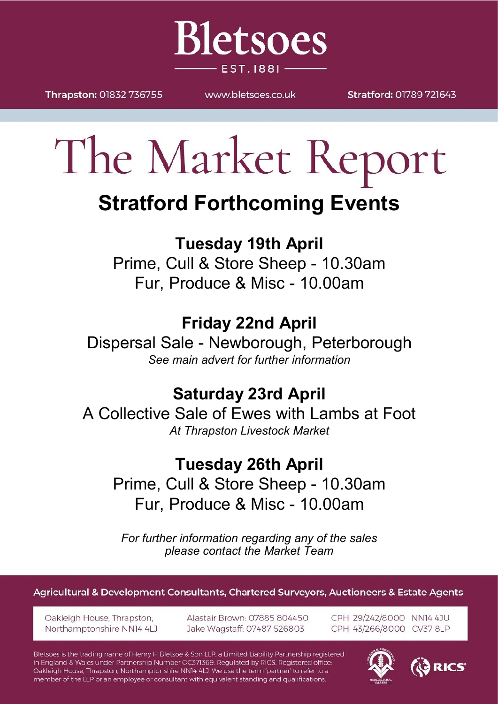

Thrapston: 01832 736755

WWW.bletsoes.co.uk

Stratford: 01789 721643

# The Market Report

# **Stratford Forthcoming Events**

### **Tuesday 19th April**

Prime, Cull & Store Sheep - 10.30am Fur, Produce & Misc - 10.00am

# **Friday 22nd April**

Dispersal Sale - Newborough, Peterborough *See main advert for further information*

## **Saturday 23rd April**

A Collective Sale of Ewes with Lambs at Foot *At Thrapston Livestock Market*

## **Tuesday 26th April**

Prime, Cull & Store Sheep - 10.30am Fur, Produce & Misc - 10.00am

*For further information regarding any of the sales please contact the Market Team*

Agricultural & Development Consultants, Chartered Surveyors, Auctioneers & Estate Agents

Oakleigh House, Thrapston, Northamptonshire NN14 4LJ Alastair Brown: 07885 804450 Jake Wagstaff: 07487 526803

CPH: 29/242/8000 NN14 4JU CPH: 43/266/8000 CV37 8LP

Bletsoes is the trading name of Henry H Bletsoe & Son LLP, a Limited Liability Partnership registered in England & Wales under Partnership Number OC371369. Regulated by RICS. Registered office: Oakleigh House, Thrapston, Northamptonshire NN14 4LJ. We use the term 'partner' to refer to a member of the LLP or an employee or consultant with equivalent standing and qualifications.



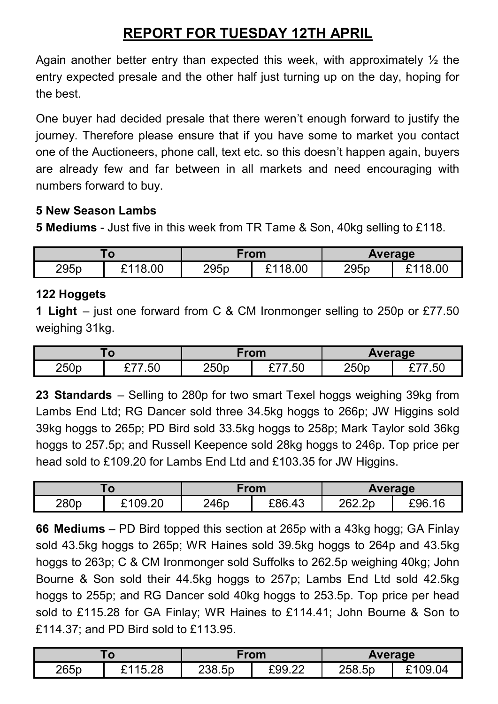#### **REPORT FOR TUESDAY 12TH APRIL**

Again another better entry than expected this week, with approximately  $\frac{1}{2}$  the entry expected presale and the other half just turning up on the day, hoping for the best.

One buyer had decided presale that there weren't enough forward to justify the journey. Therefore please ensure that if you have some to market you contact one of the Auctioneers, phone call, text etc. so this doesn't happen again, buyers are already few and far between in all markets and need encouraging with numbers forward to buy.

#### **5 New Season Lambs**

**5 Mediums** - Just five in this week from TR Tame & Son, 40kg selling to £118.

| Γο   |              | From |         | Average |         |
|------|--------------|------|---------|---------|---------|
| 295p | £118.00<br>- | 295p | 118.00ئ | 295p    | £118.00 |

#### **122 Hoggets**

**1 Light** – just one forward from C & CM Ironmonger selling to 250p or £77.50 weighing 31kg.

|      |     | From |        | <b>Average</b> |      |
|------|-----|------|--------|----------------|------|
| 250p | .50 | 250p | £77.50 | 250p           | 7.50 |

**23 Standards** – Selling to 280p for two smart Texel hoggs weighing 39kg from Lambs End Ltd; RG Dancer sold three 34.5kg hoggs to 266p; JW Higgins sold 39kg hoggs to 265p; PD Bird sold 33.5kg hoggs to 258p; Mark Taylor sold 36kg hoggs to 257.5p; and Russell Keepence sold 28kg hoggs to 246p. Top price per head sold to £109.20 for Lambs End Ltd and £103.35 for JW Higgins.

| w    |                    | From |        | <b>Average</b> |                      |
|------|--------------------|------|--------|----------------|----------------------|
| 280p | 09.20<br>ີ<br>J.∠∪ | 246p | £86.43 | 262.2p         | $\sqrt{10}$<br>£96.1 |

**66 Mediums** – PD Bird topped this section at 265p with a 43kg hogg; GA Finlay sold 43.5kg hoggs to 265p; WR Haines sold 39.5kg hoggs to 264p and 43.5kg hoggs to 263p; C & CM Ironmonger sold Suffolks to 262.5p weighing 40kg; John Bourne & Son sold their 44.5kg hoggs to 257p; Lambs End Ltd sold 42.5kg hoggs to 255p; and RG Dancer sold 40kg hoggs to 253.5p. Top price per head sold to £115.28 for GA Finlay; WR Haines to £114.41; John Bourne & Son to £114.37; and PD Bird sold to £113.95.

|      |         | From   |        | Average |             |
|------|---------|--------|--------|---------|-------------|
| 265p | £115.28 | 238.5p | £99.22 | 258.5p  | £109.<br>04 |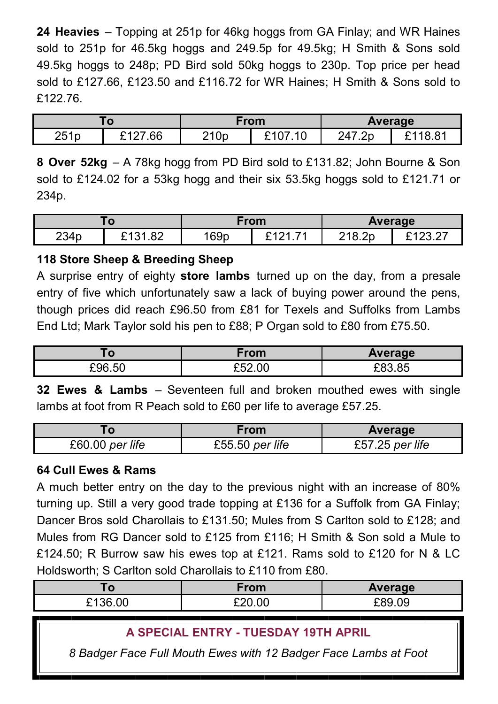**24 Heavies** – Topping at 251p for 46kg hoggs from GA Finlay; and WR Haines sold to 251p for 46.5kg hoggs and 249.5p for 49.5kg; H Smith & Sons sold 49.5kg hoggs to 248p; PD Bird sold 50kg hoggs to 230p. Top price per head sold to £127.66, £123.50 and £116.72 for WR Haines; H Smith & Sons sold to £122.76.

| Го   |                  | From             |                        | Average |         |
|------|------------------|------------------|------------------------|---------|---------|
| 251p | างกว<br>.66<br>- | 210 <sub>p</sub> | 3407<br>$^{\cdot}$ .10 | 247.2p  | £118.81 |

**8 Over 52kg** – A 78kg hogg from PD Bird sold to £131.82; John Bourne & Son sold to £124.02 for a 53kg hogg and their six 53.5kg hoggs sold to £121.71 or 234p.

| $\mathbf{o}$     |                         | From |                       | Average |  |
|------------------|-------------------------|------|-----------------------|---------|--|
| 234 <sub>p</sub> | .82<br><b>0494</b><br>~ | 169p | $\rightarrow$<br>`101 | 218.2p  |  |

#### **118 Store Sheep & Breeding Sheep**

A surprise entry of eighty **store lambs** turned up on the day, from a presale entry of five which unfortunately saw a lack of buying power around the pens, though prices did reach £96.50 from £81 for Texels and Suffolks from Lambs End Ltd; Mark Taylor sold his pen to £88; P Organ sold to £80 from £75.50.

| , v    | ∙rom   | Average              |
|--------|--------|----------------------|
| £96.50 | £52.00 | $\sim$ $\sim$ $\sim$ |

**32 Ewes & Lambs** – Seventeen full and broken mouthed ewes with single lambs at foot from R Peach sold to £60 per life to average £57.25.

|                 | <b>From</b>     | Average         |  |
|-----------------|-----------------|-----------------|--|
| £60.00 per life | £55.50 per life | £57.25 per life |  |

#### **64 Cull Ewes & Rams**

A much better entry on the day to the previous night with an increase of 80% turning up. Still a very good trade topping at £136 for a Suffolk from GA Finlay; Dancer Bros sold Charollais to £131.50; Mules from S Carlton sold to £128; and Mules from RG Dancer sold to £125 from £116; H Smith & Son sold a Mule to £124.50; R Burrow saw his ewes top at £121. Rams sold to £120 for N & LC Holdsworth; S Carlton sold Charollais to £110 from £80.

| æ              | From   | <b>Average</b> |
|----------------|--------|----------------|
| ີ 136.<br>6.00 | £20.00 | £89.09         |

#### **A SPECIAL ENTRY - TUESDAY 19TH APRIL**

*8 Badger Face Full Mouth Ewes with 12 Badger Face Lambs at Foot*